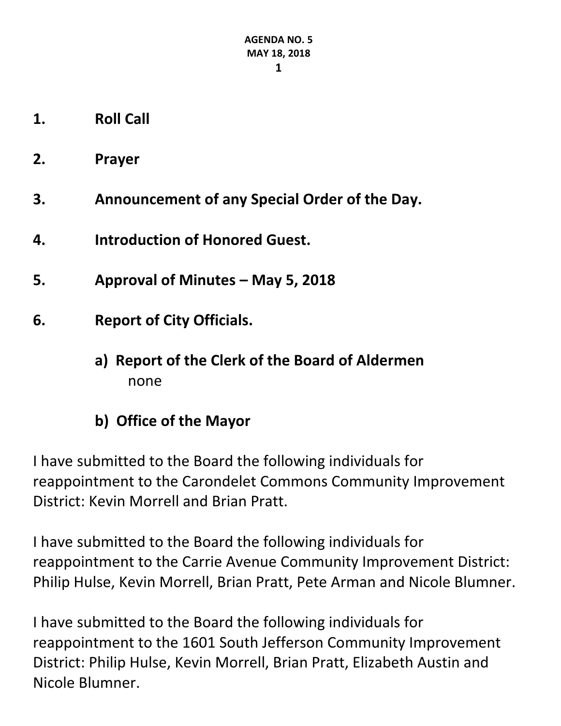- **1. Roll Call**
- **2. Prayer**
- **3. Announcement of any Special Order of the Day.**
- **4. Introduction of Honored Guest.**
- **5. Approval of Minutes – May 5, 2018**
- **6. Report of City Officials.**
	- **a) Report of the Clerk of the Board of Aldermen** none
	- **b) Office of the Mayor**

I have submitted to the Board the following individuals for reappointment to the Carondelet Commons Community Improvement District: Kevin Morrell and Brian Pratt.

I have submitted to the Board the following individuals for reappointment to the Carrie Avenue Community Improvement District: Philip Hulse, Kevin Morrell, Brian Pratt, Pete Arman and Nicole Blumner.

I have submitted to the Board the following individuals for reappointment to the 1601 South Jefferson Community Improvement District: Philip Hulse, Kevin Morrell, Brian Pratt, Elizabeth Austin and Nicole Blumner.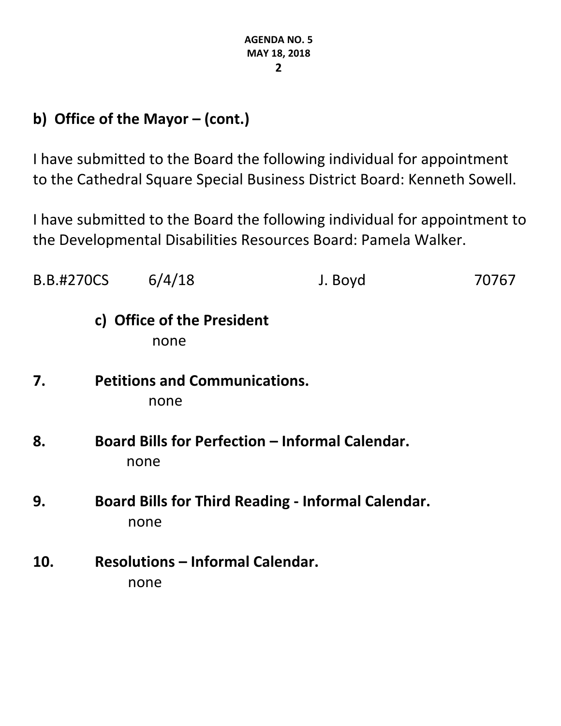## **b) Office of the Mayor – (cont.)**

I have submitted to the Board the following individual for appointment to the Cathedral Square Special Business District Board: Kenneth Sowell.

I have submitted to the Board the following individual for appointment to the Developmental Disabilities Resources Board: Pamela Walker.

| <b>B.B.#270CS</b> |  | 6/4/18                                          | J. Boyd                                                   | 70767 |
|-------------------|--|-------------------------------------------------|-----------------------------------------------------------|-------|
|                   |  | c) Office of the President<br>none              |                                                           |       |
| 7.                |  | <b>Petitions and Communications.</b><br>none    |                                                           |       |
| 8.                |  | none                                            | <b>Board Bills for Perfection - Informal Calendar.</b>    |       |
| 9.                |  | none                                            | <b>Board Bills for Third Reading - Informal Calendar.</b> |       |
| 10.               |  | <b>Resolutions - Informal Calendar.</b><br>none |                                                           |       |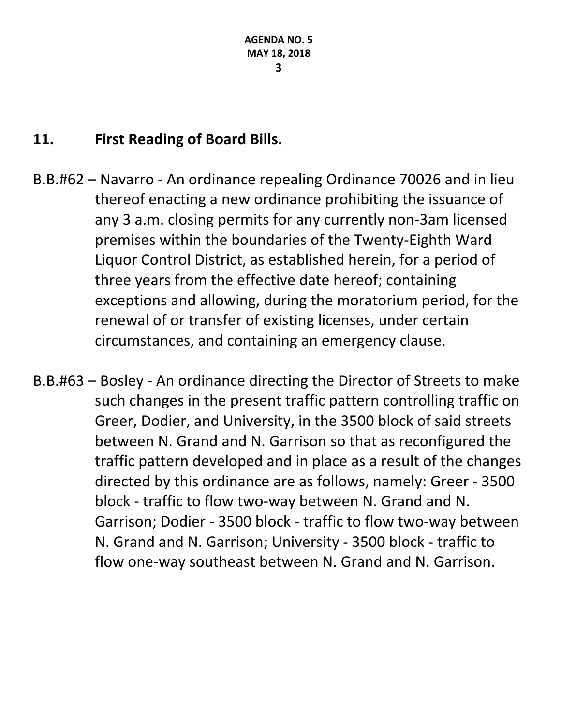#### **11. First Reading of Board Bills.**

- B.B.#62 Navarro An ordinance repealing Ordinance 70026 and in lieu thereof enacting a new ordinance prohibiting the issuance of any 3 a.m. closing permits for any currently non-3am licensed premises within the boundaries of the Twenty-Eighth Ward Liquor Control District, as established herein, for a period of three years from the effective date hereof; containing exceptions and allowing, during the moratorium period, for the renewal of or transfer of existing licenses, under certain circumstances, and containing an emergency clause.
- B.B.#63 Bosley An ordinance directing the Director of Streets to make such changes in the present traffic pattern controlling traffic on Greer, Dodier, and University, in the 3500 block of said streets between N. Grand and N. Garrison so that as reconfigured the traffic pattern developed and in place as a result of the changes directed by this ordinance are as follows, namely: Greer - 3500 block - traffic to flow two-way between N. Grand and N. Garrison; Dodier - 3500 block - traffic to flow two-way between N. Grand and N. Garrison; University - 3500 block - traffic to flow one-way southeast between N. Grand and N. Garrison.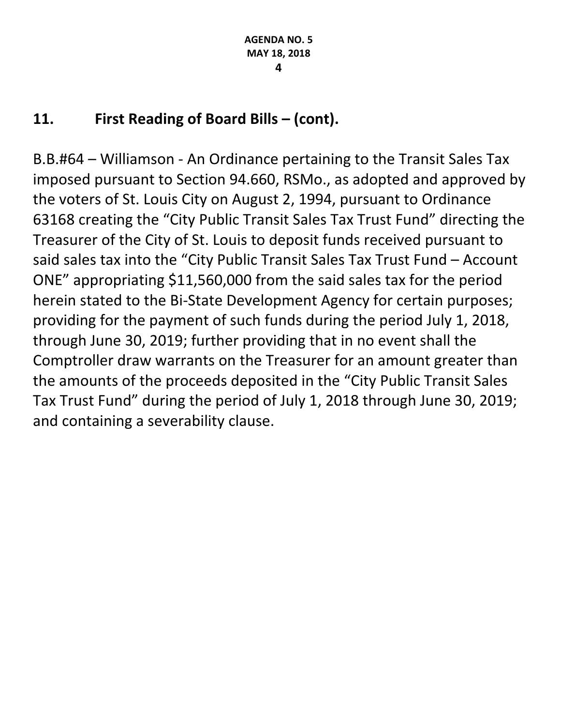#### **11. First Reading of Board Bills – (cont).**

B.B.#64 – Williamson - An Ordinance pertaining to the Transit Sales Tax imposed pursuant to Section 94.660, RSMo., as adopted and approved by the voters of St. Louis City on August 2, 1994, pursuant to Ordinance 63168 creating the "City Public Transit Sales Tax Trust Fund" directing the Treasurer of the City of St. Louis to deposit funds received pursuant to said sales tax into the "City Public Transit Sales Tax Trust Fund – Account ONE" appropriating \$11,560,000 from the said sales tax for the period herein stated to the Bi-State Development Agency for certain purposes; providing for the payment of such funds during the period July 1, 2018, through June 30, 2019; further providing that in no event shall the Comptroller draw warrants on the Treasurer for an amount greater than the amounts of the proceeds deposited in the "City Public Transit Sales Tax Trust Fund" during the period of July 1, 2018 through June 30, 2019; and containing a severability clause.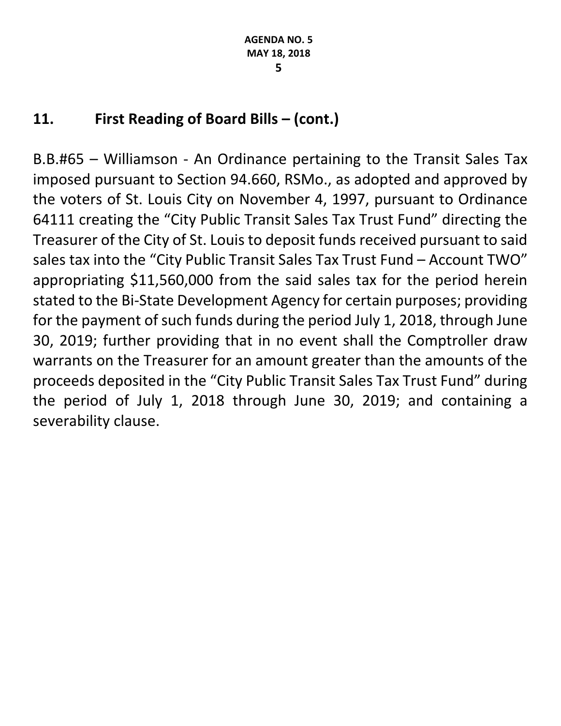#### **11. First Reading of Board Bills – (cont.)**

B.B.#65 – Williamson - An Ordinance pertaining to the Transit Sales Tax imposed pursuant to Section 94.660, RSMo., as adopted and approved by the voters of St. Louis City on November 4, 1997, pursuant to Ordinance 64111 creating the "City Public Transit Sales Tax Trust Fund" directing the Treasurer of the City of St. Louis to deposit funds received pursuant to said sales tax into the "City Public Transit Sales Tax Trust Fund – Account TWO" appropriating \$11,560,000 from the said sales tax for the period herein stated to the Bi-State Development Agency for certain purposes; providing for the payment of such funds during the period July 1, 2018, through June 30, 2019; further providing that in no event shall the Comptroller draw warrants on the Treasurer for an amount greater than the amounts of the proceeds deposited in the "City Public Transit Sales Tax Trust Fund" during the period of July 1, 2018 through June 30, 2019; and containing a severability clause.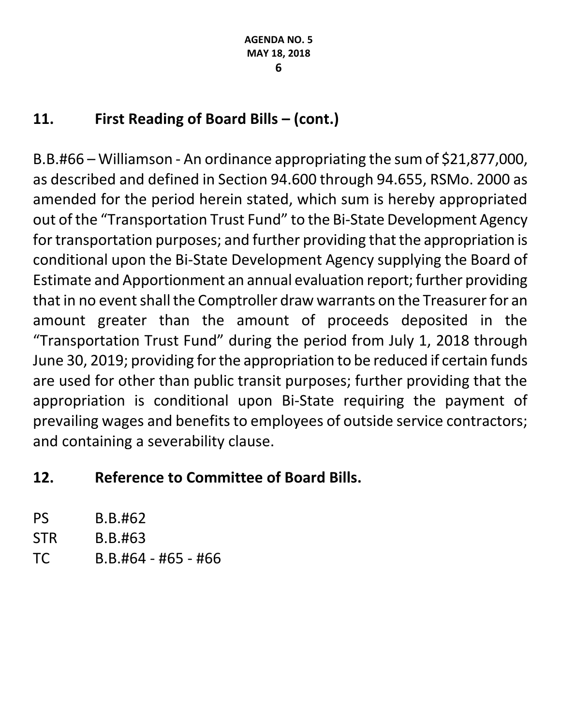### **11. First Reading of Board Bills – (cont.)**

B.B.#66 – Williamson - An ordinance appropriating the sum of \$21,877,000, as described and defined in Section 94.600 through 94.655, RSMo. 2000 as amended for the period herein stated, which sum is hereby appropriated out of the "Transportation Trust Fund" to the Bi-State Development Agency for transportation purposes; and further providing that the appropriation is conditional upon the Bi-State Development Agency supplying the Board of Estimate and Apportionment an annual evaluation report; further providing that in no event shall the Comptroller draw warrants on the Treasurer for an amount greater than the amount of proceeds deposited in the "Transportation Trust Fund" during the period from July 1, 2018 through June 30, 2019; providing for the appropriation to be reduced if certain funds are used for other than public transit purposes; further providing that the appropriation is conditional upon Bi-State requiring the payment of prevailing wages and benefits to employees of outside service contractors; and containing a severability clause.

#### **12. Reference to Committee of Board Bills.**

| PS  | B.B.#62               |
|-----|-----------------------|
| STR | B.B.#63               |
| TC  | $B.B.#64 - #65 - #66$ |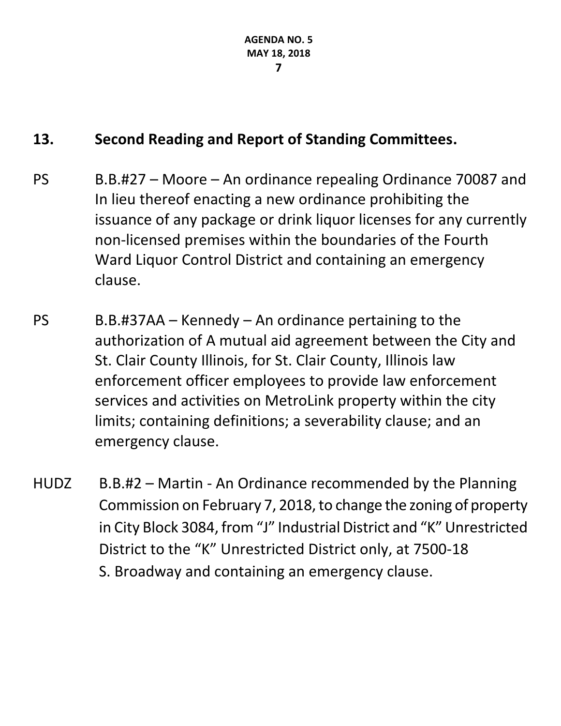### **13. Second Reading and Report of Standing Committees.**

- PS B.B.#27 Moore An ordinance repealing Ordinance 70087 and In lieu thereof enacting a new ordinance prohibiting the issuance of any package or drink liquor licenses for any currently non-licensed premises within the boundaries of the Fourth Ward Liquor Control District and containing an emergency clause.
- PS B.B.#37AA Kennedy An ordinance pertaining to the authorization of A mutual aid agreement between the City and St. Clair County Illinois, for St. Clair County, Illinois law enforcement officer employees to provide law enforcement services and activities on MetroLink property within the city limits; containing definitions; a severability clause; and an emergency clause.
- HUDZ B.B.#2 Martin An Ordinance recommended by the Planning Commission on February 7, 2018, to change the zoning of property in City Block 3084, from "J" Industrial District and "K" Unrestricted District to the "K" Unrestricted District only, at 7500-18 S. Broadway and containing an emergency clause.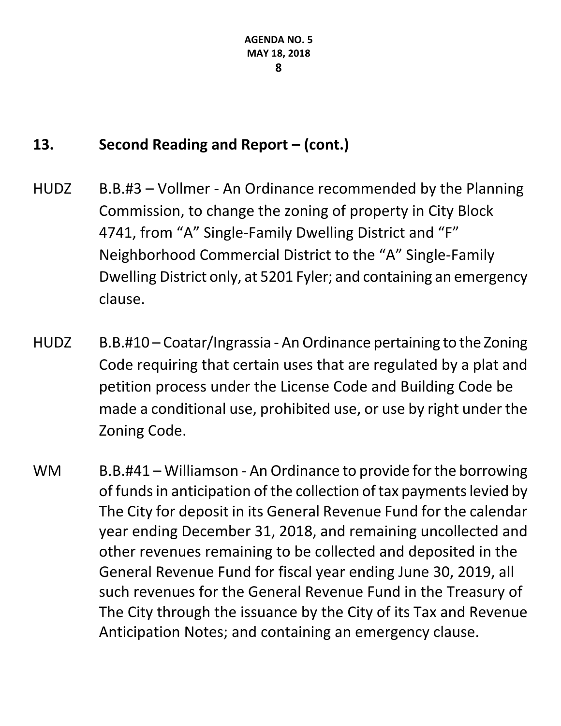#### **13. Second Reading and Report – (cont.)**

- HUDZ B.B.#3 Vollmer An Ordinance recommended by the Planning Commission, to change the zoning of property in City Block 4741, from "A" Single-Family Dwelling District and "F" Neighborhood Commercial District to the "A" Single-Family Dwelling District only, at 5201 Fyler; and containing an emergency clause.
- HUDZ B.B.#10 Coatar/Ingrassia An Ordinance pertaining to the Zoning Code requiring that certain uses that are regulated by a plat and petition process under the License Code and Building Code be made a conditional use, prohibited use, or use by right under the Zoning Code.
- WM B.B.#41 Williamson An Ordinance to provide for the borrowing of funds in anticipation of the collection of tax payments levied by The City for deposit in its General Revenue Fund for the calendar year ending December 31, 2018, and remaining uncollected and other revenues remaining to be collected and deposited in the General Revenue Fund for fiscal year ending June 30, 2019, all such revenues for the General Revenue Fund in the Treasury of The City through the issuance by the City of its Tax and Revenue Anticipation Notes; and containing an emergency clause.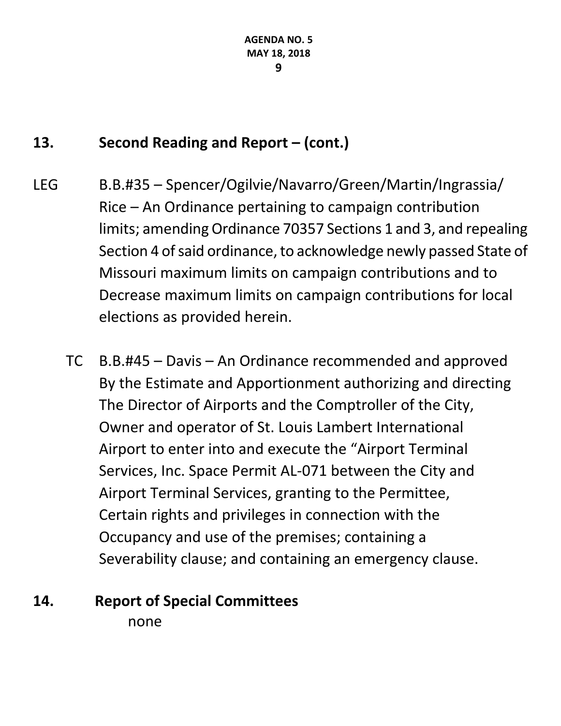#### **13. Second Reading and Report – (cont.)**

- LEG B.B.#35 Spencer/Ogilvie/Navarro/Green/Martin/Ingrassia/ Rice – An Ordinance pertaining to campaign contribution limits; amending Ordinance 70357 Sections 1 and 3, and repealing Section 4 of said ordinance, to acknowledge newly passed State of Missouri maximum limits on campaign contributions and to Decrease maximum limits on campaign contributions for local elections as provided herein.
	- TC B.B.#45 Davis An Ordinance recommended and approved By the Estimate and Apportionment authorizing and directing The Director of Airports and the Comptroller of the City, Owner and operator of St. Louis Lambert International Airport to enter into and execute the "Airport Terminal Services, Inc. Space Permit AL-071 between the City and Airport Terminal Services, granting to the Permittee, Certain rights and privileges in connection with the Occupancy and use of the premises; containing a Severability clause; and containing an emergency clause.

# **14. Report of Special Committees**

none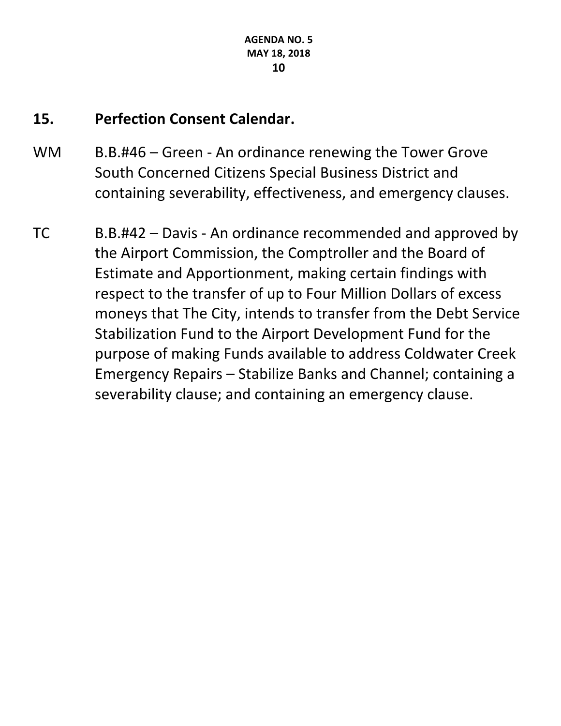#### **15. Perfection Consent Calendar.**

- WM B.B.#46 Green An ordinance renewing the Tower Grove South Concerned Citizens Special Business District and containing severability, effectiveness, and emergency clauses.
- TC B.B.#42 Davis An ordinance recommended and approved by the Airport Commission, the Comptroller and the Board of Estimate and Apportionment, making certain findings with respect to the transfer of up to Four Million Dollars of excess moneys that The City, intends to transfer from the Debt Service Stabilization Fund to the Airport Development Fund for the purpose of making Funds available to address Coldwater Creek Emergency Repairs – Stabilize Banks and Channel; containing a severability clause; and containing an emergency clause.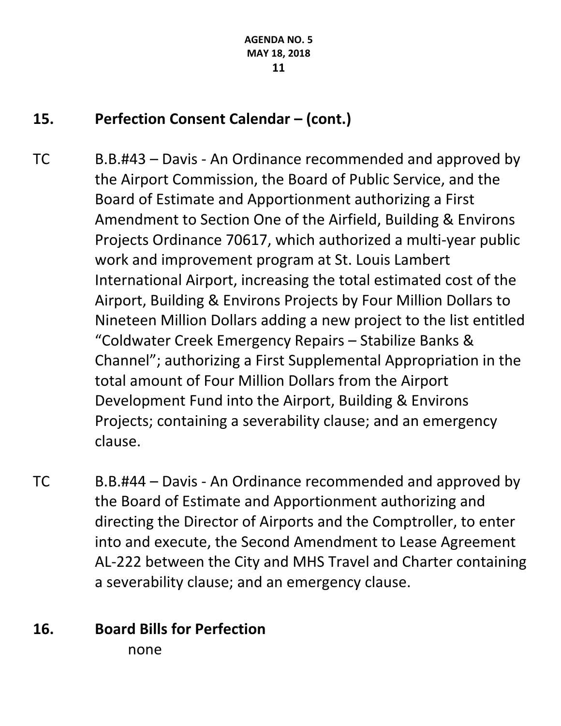#### **15. Perfection Consent Calendar – (cont.)**

- TC B.B.#43 Davis An Ordinance recommended and approved by the Airport Commission, the Board of Public Service, and the Board of Estimate and Apportionment authorizing a First Amendment to Section One of the Airfield, Building & Environs Projects Ordinance 70617, which authorized a multi-year public work and improvement program at St. Louis Lambert International Airport, increasing the total estimated cost of the Airport, Building & Environs Projects by Four Million Dollars to Nineteen Million Dollars adding a new project to the list entitled "Coldwater Creek Emergency Repairs – Stabilize Banks & Channel"; authorizing a First Supplemental Appropriation in the total amount of Four Million Dollars from the Airport Development Fund into the Airport, Building & Environs Projects; containing a severability clause; and an emergency clause.
- TC B.B.#44 Davis An Ordinance recommended and approved by the Board of Estimate and Apportionment authorizing and directing the Director of Airports and the Comptroller, to enter into and execute, the Second Amendment to Lease Agreement AL-222 between the City and MHS Travel and Charter containing a severability clause; and an emergency clause.

# **16. Board Bills for Perfection**

none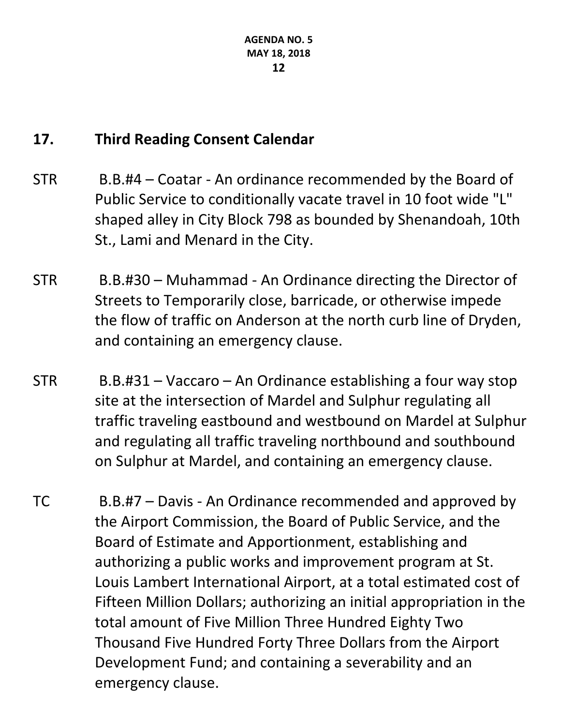#### **17. Third Reading Consent Calendar**

- STR B.B.#4 Coatar An ordinance recommended by the Board of Public Service to conditionally vacate travel in 10 foot wide "L" shaped alley in City Block 798 as bounded by Shenandoah, 10th St., Lami and Menard in the City.
- STR B.B.#30 Muhammad An Ordinance directing the Director of Streets to Temporarily close, barricade, or otherwise impede the flow of traffic on Anderson at the north curb line of Dryden, and containing an emergency clause.
- STR B.B.#31 Vaccaro An Ordinance establishing a four way stop site at the intersection of Mardel and Sulphur regulating all traffic traveling eastbound and westbound on Mardel at Sulphur and regulating all traffic traveling northbound and southbound on Sulphur at Mardel, and containing an emergency clause.
- TC B.B.#7 Davis An Ordinance recommended and approved by the Airport Commission, the Board of Public Service, and the Board of Estimate and Apportionment, establishing and authorizing a public works and improvement program at St. Louis Lambert International Airport, at a total estimated cost of Fifteen Million Dollars; authorizing an initial appropriation in the total amount of Five Million Three Hundred Eighty Two Thousand Five Hundred Forty Three Dollars from the Airport Development Fund; and containing a severability and an emergency clause.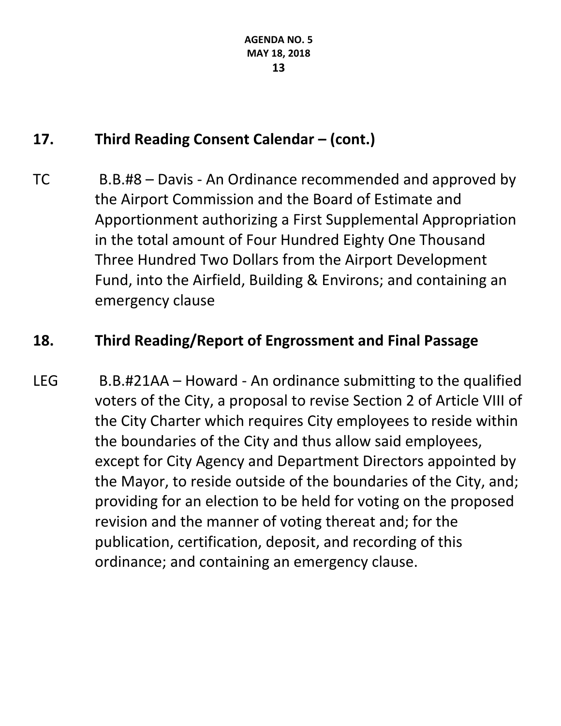### **17. Third Reading Consent Calendar – (cont.)**

TC B.B.#8 – Davis - An Ordinance recommended and approved by the Airport Commission and the Board of Estimate and Apportionment authorizing a First Supplemental Appropriation in the total amount of Four Hundred Eighty One Thousand Three Hundred Two Dollars from the Airport Development Fund, into the Airfield, Building & Environs; and containing an emergency clause

#### **18. Third Reading/Report of Engrossment and Final Passage**

LEG B.B.#21AA – Howard - An ordinance submitting to the qualified voters of the City, a proposal to revise Section 2 of Article VIII of the City Charter which requires City employees to reside within the boundaries of the City and thus allow said employees, except for City Agency and Department Directors appointed by the Mayor, to reside outside of the boundaries of the City, and; providing for an election to be held for voting on the proposed revision and the manner of voting thereat and; for the publication, certification, deposit, and recording of this ordinance; and containing an emergency clause.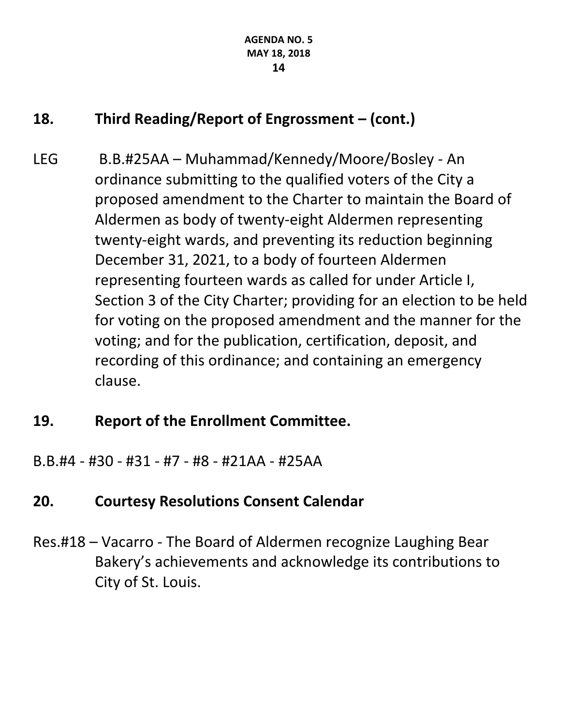### **18. Third Reading/Report of Engrossment – (cont.)**

LEG B.B.#25AA – Muhammad/Kennedy/Moore/Bosley - An ordinance submitting to the qualified voters of the City a proposed amendment to the Charter to maintain the Board of Aldermen as body of twenty-eight Aldermen representing twenty-eight wards, and preventing its reduction beginning December 31, 2021, to a body of fourteen Aldermen representing fourteen wards as called for under Article I, Section 3 of the City Charter; providing for an election to be held for voting on the proposed amendment and the manner for the voting; and for the publication, certification, deposit, and recording of this ordinance; and containing an emergency clause.

#### **19. Report of the Enrollment Committee.**

B.B.#4 - #30 - #31 - #7 - #8 - #21AA - #25AA

### **20. Courtesy Resolutions Consent Calendar**

Res.#18 – Vacarro - The Board of Aldermen recognize Laughing Bear Bakery's achievements and acknowledge its contributions to City of St. Louis.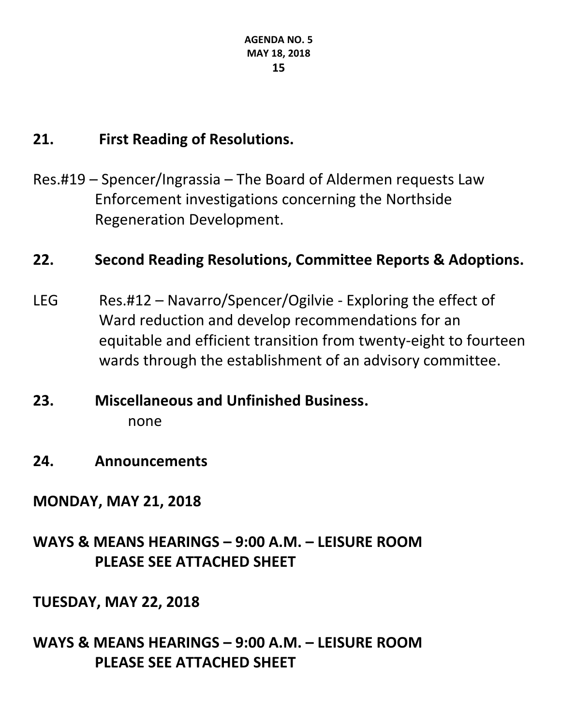#### **21. First Reading of Resolutions.**

Res.#19 – Spencer/Ingrassia – The Board of Aldermen requests Law Enforcement investigations concerning the Northside Regeneration Development.

#### **22. Second Reading Resolutions, Committee Reports & Adoptions.**

- LEG Res.#12 Navarro/Spencer/Ogilvie Exploring the effect of Ward reduction and develop recommendations for an equitable and efficient transition from twenty-eight to fourteen wards through the establishment of an advisory committee.
- **23. Miscellaneous and Unfinished Business.** none
- **24. Announcements**

#### **MONDAY, MAY 21, 2018**

### **WAYS & MEANS HEARINGS – 9:00 A.M. – LEISURE ROOM PLEASE SEE ATTACHED SHEET**

#### **TUESDAY, MAY 22, 2018**

#### **WAYS & MEANS HEARINGS – 9:00 A.M. – LEISURE ROOM PLEASE SEE ATTACHED SHEET**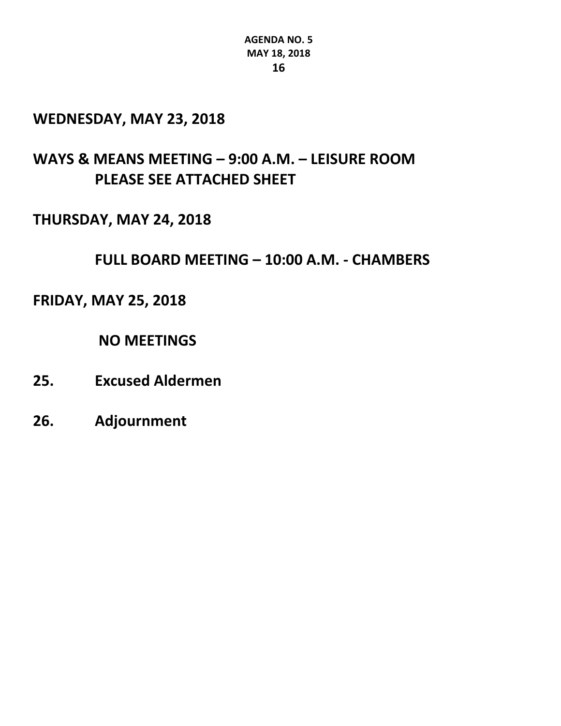#### **WEDNESDAY, MAY 23, 2018**

#### **WAYS & MEANS MEETING – 9:00 A.M. – LEISURE ROOM PLEASE SEE ATTACHED SHEET**

#### **THURSDAY, MAY 24, 2018**

**FULL BOARD MEETING – 10:00 A.M. - CHAMBERS** 

#### **FRIDAY, MAY 25, 2018**

**NO MEETINGS**

- **25. Excused Aldermen**
- **26. Adjournment**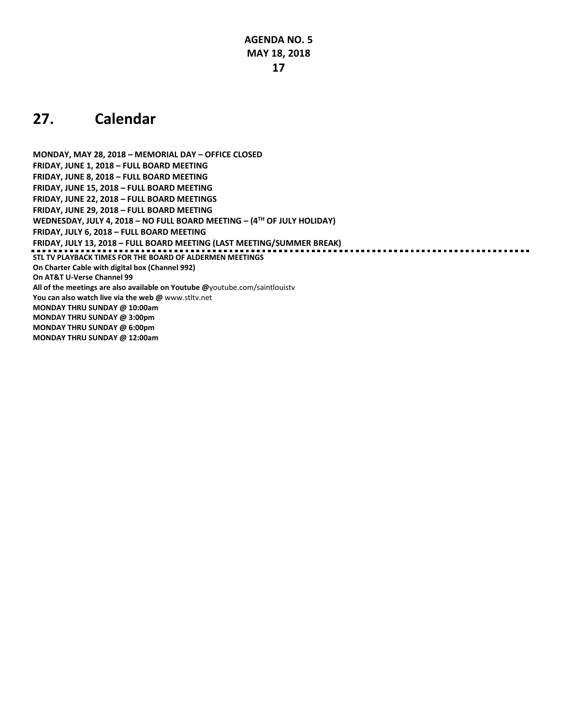#### **27. Calendar**

**MONDAY, MAY 28, 2018 – MEMORIAL DAY – OFFICE CLOSED FRIDAY, JUNE 1, 2018 – FULL BOARD MEETING FRIDAY, JUNE 8, 2018 – FULL BOARD MEETING FRIDAY, JUNE 15, 2018 – FULL BOARD MEETING FRIDAY, JUNE 22, 2018 – FULL BOARD MEETINGS FRIDAY, JUNE 29, 2018 – FULL BOARD MEETING WEDNESDAY, JULY 4, 2018 – NO FULL BOARD MEETING – (4TH OF JULY HOLIDAY) FRIDAY, JULY 6, 2018 – FULL BOARD MEETING FRIDAY, JULY 13, 2018 – FULL BOARD MEETING (LAST MEETING/SUMMER BREAK) STL TV PLAYBACK TIMES FOR THE BOARD OF ALDERMEN MEETINGS On Charter Cable with digital box (Channel 992) On AT&T U-Verse Channel 99 All of the meetings are also available on Youtube @**[youtube.com/saintlouistv](http://youtube.com/saintlouistv) **You can also watch live via the web @** [www.stltv.net](http://www.stltv.net/) **MONDAY THRU SUNDAY @ 10:00am MONDAY THRU SUNDAY @ 3:00pm MONDAY THRU SUNDAY @ 6:00pm MONDAY THRU SUNDAY @ 12:00am**